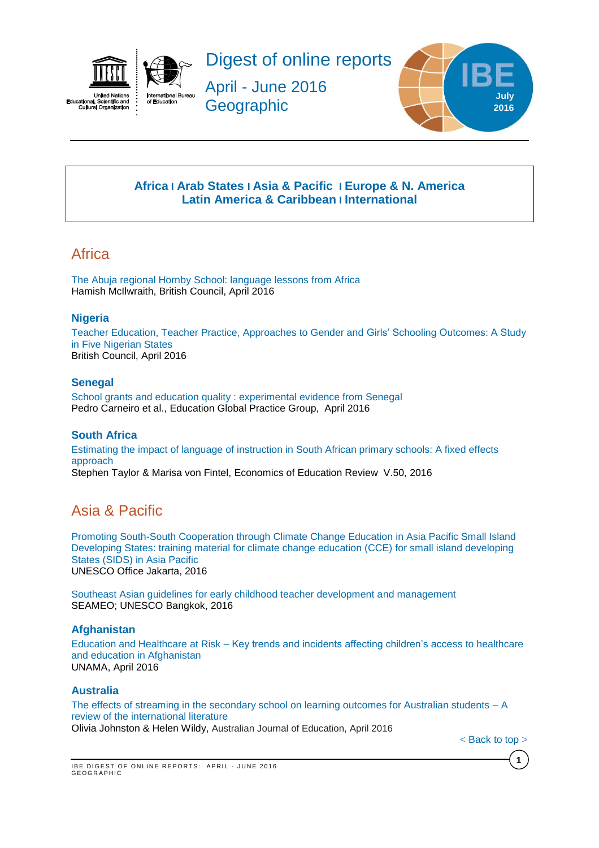



Digest of online reports

April - June 2016 **Geographic** 



# **[Africa](#page-0-0) I Arab States I [Asia & Pacific](#page-0-1) I [Europe & N. America](#page-1-0) Latin America & Caribbean I [International](#page-5-0)**

# <span id="page-0-0"></span>**Africa**

[The Abuja regional Hornby School: language lessons from Africa](http://www.teachingenglish.org.uk/sites/teacheng/files/F230%20ELT%20Nigeria%20Online%20Publication_FINAL%20WEB%20v3.pdf) Hamish McIlwraith, British Council, April 2016

# **Nigeria**

[Teacher Education, Teacher Practice, Approaches to Gender and](https://www.britishcouncil.org.ng/sites/default/files/macarthur_teacher_education_briefing_note_1_0.pdf) Girls' Schooling Outcomes: A Study [in Five Nigerian States](https://www.britishcouncil.org.ng/sites/default/files/macarthur_teacher_education_briefing_note_1_0.pdf) British Council, April 2016

# **Senegal**

[School grants and education quality : experimental evidence from Senegal](http://www-wds.worldbank.org/external/default/WDSContentServer/WDSP/IB/2016/04/06/090224b08426bd5c/1_0/Rendered/PDF/School0grants00vidence0from0Senegal.pdf) Pedro Carneiro et al., Education Global Practice Group, April 2016

## **South Africa**

[Estimating the impact of language of instruction in South African primary schools: A fixed effects](http://ac.els-cdn.com/S027277571630022X/1-s2.0-S027277571630022X-main.pdf?_tid=65572bb8-fa64-11e5-ba18-00000aacb362&acdnat=1459774660_cf92a80ac821a1c001a7b01420da5336)  [approach](http://ac.els-cdn.com/S027277571630022X/1-s2.0-S027277571630022X-main.pdf?_tid=65572bb8-fa64-11e5-ba18-00000aacb362&acdnat=1459774660_cf92a80ac821a1c001a7b01420da5336) Stephen Taylor & Marisa von Fintel, Economics of Education Review V.50, 2016

# <span id="page-0-1"></span>Asia & Pacific

[Promoting South-South Cooperation through Climate Change Education in Asia Pacific Small Island](http://unesdoc.unesco.org/images/0024/002443/244336e.pdf)  [Developing States: training material for climate change education \(CCE\) for small island developing](http://unesdoc.unesco.org/images/0024/002443/244336e.pdf)  [States \(SIDS\) in Asia Pacific](http://unesdoc.unesco.org/images/0024/002443/244336e.pdf) UNESCO Office Jakarta, 2016

[Southeast Asian guidelines for early childhood teacher development and management](http://unesdoc.unesco.org/images/0024/002443/244370e.pdf) SEAMEO; UNESCO Bangkok, 2016

## **Afghanistan**

Education and Healthcare at Risk – [Key trends and incidents affecting children's access to healthcare](http://unama.unmissions.org/sites/default/files/education_and_healthcare_at_risk.pdf)  [and education in Afghanistan](http://unama.unmissions.org/sites/default/files/education_and_healthcare_at_risk.pdf) UNAMA, April 2016

## **Australia**

[The effects of streaming in the secondary school on learning outcomes for Australian students –](http://aed.sagepub.com/content/60/1/42.full.pdf+html) A [review of the international literature](http://aed.sagepub.com/content/60/1/42.full.pdf+html) Olivia Johnston & Helen Wildy, Australian Journal of Education, April 2016

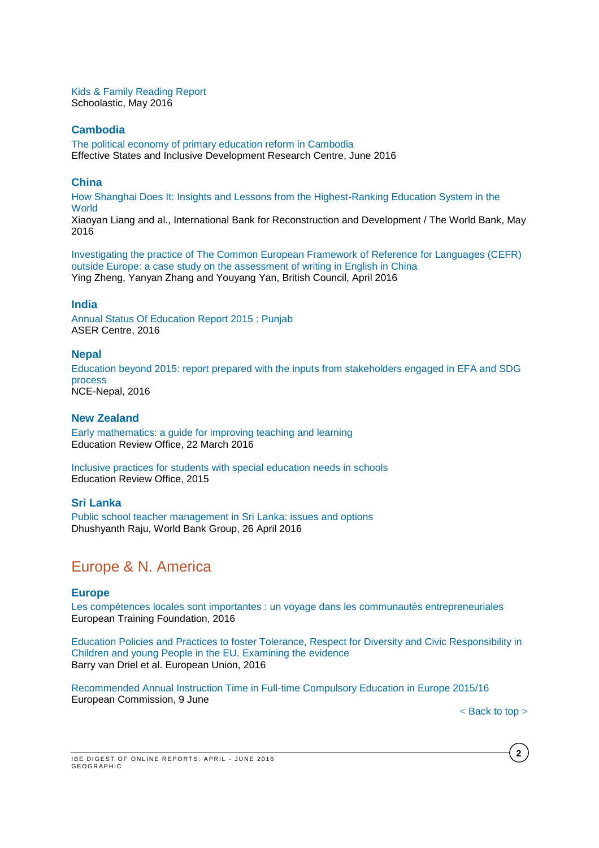[Kids & Family Reading Report](http://www.scholastic.com.au/schools/ReadingLeaders/KFRR/assets/pdf/KFRR_AUS.pdf) Schoolastic, May 2016

### **Cambodia**

[The political economy of primary education reform in Cambodia](http://www.effective-states.org/wp-content/uploads/working_papers/final-pdfs/esid_wp_58_kelsall_khieng_chantha_muy.pdf) Effective States and Inclusive Development Research Centre, June 2016

### **China**

[How Shanghai Does It: Insights and Lessons from the Highest-Ranking Education System in the](https://openknowledge.worldbank.org/bitstream/handle/10986/24000/9781464807909.pdf)  **[World](https://openknowledge.worldbank.org/bitstream/handle/10986/24000/9781464807909.pdf)** 

Xiaoyan Liang and al., International Bank for Reconstruction and Development / The World Bank, May 2016

[Investigating the practice of The Common European Framework of Reference for Languages \(CEFR\)](http://www.teachingenglish.org.uk/sites/teacheng/files/BC%20ELTRA%20A4%2028pp%20FINAL.PDF)  [outside Europe: a case study on the assessment of writing in English in China](http://www.teachingenglish.org.uk/sites/teacheng/files/BC%20ELTRA%20A4%2028pp%20FINAL.PDF) Ying Zheng, Yanyan Zhang and Youyang Yan, British Council, April 2016

### **India**

[Annual Status Of Education Report 2015 : Punjab](http://img.asercentre.org/docs/Publications/ASER%20Reports/ASER%202015:%20Punjab/aser2015punjabfindings.pdf) ASER Centre, 2016

#### **Nepal**

Education beyond 2015: report [prepared with the inputs from stakeholders engaged in EFA and SDG](http://unesdoc.unesco.org/images/0024/002442/244207e.pdf)  [process](http://unesdoc.unesco.org/images/0024/002442/244207e.pdf) NCE-Nepal, 2016

## **New Zealand**

[Early mathematics: a guide for improving teaching and learning](http://www.ero.govt.nz/National-Reports/Early-mathematics-a-guide-for-improving-teaching-and-learning-March-2016) Education Review Office, 22 March 2016

[Inclusive practices for students with special education needs in schools](http://www.ero.govt.nz/publications/inclusive-practices-for-students-with-special-education-needs-in-schools/) Education Review Office, 2015

### **Sri Lanka**

[Public school teacher management in Sri Lanka: issues and options](http://www-wds.worldbank.org/external/default/WDSContentServer/WDSP/IB/2016/04/26/090224b0842ce3ba/1_0/Rendered/PDF/Public0school0000issues0and0options.pdf) Dhushyanth Raju, World Bank Group, 26 April 2016

# <span id="page-1-0"></span>Europe & N. America

### **Europe**

Les [compétences locales sont importantes : un voyage dans les communautés entrepreneuriales](http://www.etf.europa.eu/webatt.nsf/0/6ACB28624EDA89EEC1257F73005350C4/$file/Local%20skills%20matter_FR.pdf) European Training Foundation, 2016

[Education Policies and Practices to foster Tolerance, Respect for Diversity and Civic Responsibility in](http://ec.europa.eu/education/library/study/2016/neset-education-tolerance-2016_en.pdf)  [Children and young People in the EU. Examining the evidence](http://ec.europa.eu/education/library/study/2016/neset-education-tolerance-2016_en.pdf) Barry van Driel et al. European Union, 2016

[Recommended Annual Instruction Time in Full-time Compulsory Education in Europe 2015/16](https://webgate.ec.europa.eu/fpfis/mwikis/eurydice/index.php/Publications:Recommended_Annual_Instruction_Time_in_Full-time_Compulsory_Education_in_Europe_2015/16) European Commission, 9 June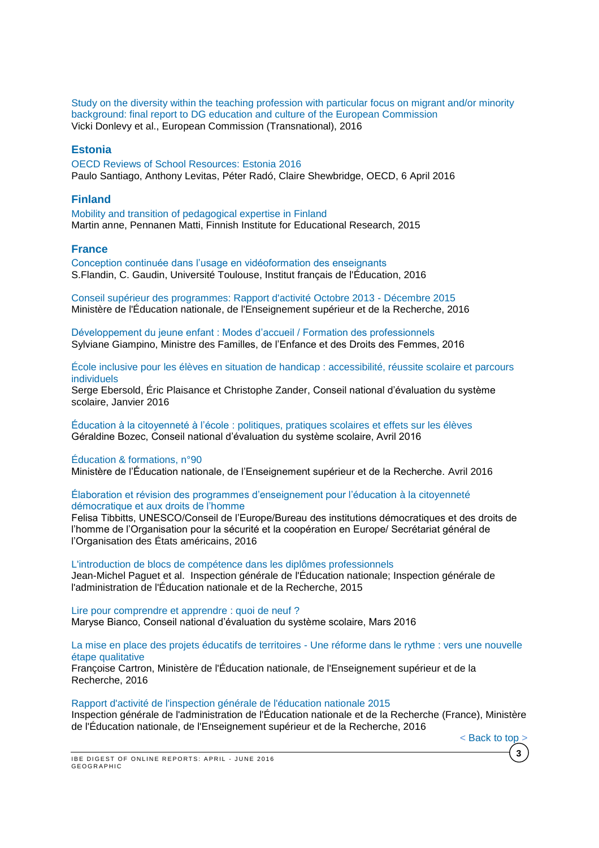[Study on the diversity within the teaching profession with particular focus on migrant and/or minority](http://ec.europa.eu/education/library/study/2016/teacher-diversity_en.pdf)  [background: final report to DG education and culture of the European Commission](http://ec.europa.eu/education/library/study/2016/teacher-diversity_en.pdf) Vicki Donlevy et al., European Commission (Transnational), 2016

### **Estonia**

[OECD Reviews of School Resources: Estonia 2016](http://www.oecd-ilibrary.org/docserver/download/9116031e.pdf?expires=1460104838&id=id&accname=guest&checksum=07DD3564B5D57053B577270A38CBBE15) Paulo Santiago, Anthony Levitas, Péter Radó, Claire Shewbridge, OECD, 6 April 2016

#### **Finland**

[Mobility and transition of pedagogical expertise in Finland](https://ktl.jyu.fi/julkaisut/julkaisuluettelo/julkaisut/2015/g051.pdf) Martin anne, Pennanen Matti, Finnish Institute for Educational Research, 2015

#### **France**

[Conception continuée dans l'usage en vidéoformation des enseignants](https://hal.archives-ouvertes.fr/hal-01319618/document) S.Flandin, C. Gaudin, Université Toulouse, Institut français de l'Éducation, 2016

[Conseil supérieur des programmes: Rapport d'activité Octobre 2013 -](http://www.ladocumentationfrancaise.fr/var/storage/rapports-publics/164000266.pdf) Décembre 2015 Ministère de l'Éducation nationale, de l'Enseignement supérieur et de la Recherche, 2016

[Développement du jeune enfant : Modes d'accueil / Formation des professionnels](http://www.ladocumentationfrancaise.fr/rapports-publics/164000279/) Sylviane Giampino, Ministre des Familles, de l'Enfance et des Droits des Femmes, 2016

[École inclusive pour les élèves en situation de handicap : accessibilité, réussite scolaire et parcours](http://www.cnesco.fr/wp-content/uploads/2015/12/rapport_handicap.pdf)  [individuels](http://www.cnesco.fr/wp-content/uploads/2015/12/rapport_handicap.pdf)

Serge Ebersold, Éric Plaisance et Christophe Zander, Conseil national d'évaluation du système scolaire, Janvier 2016

Éducation à la citoyenneté à l'école [: politiques, pratiques scolaires et effets sur les élèves](http://www.cnesco.fr/wp-content/uploads/2016/04/Rapport_%C3%A9ducation_citoyennet%C3%A9.pdf) Géraldine Bozec, Conseil national d'évaluation du système scolaire, Avril 2016

#### [Éducation & formations, n°90](http://cache.media.education.gouv.fr/file/revue_90/54/2/depp-2016-EF-90_562542.pdf)

Ministère de l'Éducation nationale, de l'Enseignement supérieur et de la Recherche. Avril 2016

#### [Élaboration et révision des programmes d'enseignement pour l'éducation à la citoyenneté](http://unesdoc.unesco.org/images/0024/002434/243451f.pdf)  [démocratique et aux droits de l'homme](http://unesdoc.unesco.org/images/0024/002434/243451f.pdf)

Felisa Tibbitts, UNESCO/Conseil de l'Europe/Bureau des institutions démocratiques et des droits de l'homme de l'Organisation pour la sécurité et la coopération en Europe/ Secrétariat général de l'Organisation des États américains, 2016

[L'introduction de blocs de compétence dans les diplômes professionnels](http://www.ladocumentationfrancaise.fr/var/storage/rapports-publics/164000165.pdf) Jean-Michel Paguet et al. Inspection générale de l'Éducation nationale; Inspection générale de l'administration de l'Éducation nationale et de la Recherche, 2015

[Lire pour comprendre et apprendre : quoi de neuf ?](http://www.cnesco.fr/wp-content/uploads/2016/03/Rapport_lire_comprendre_apprendre.pdf) Maryse Bianco, Conseil national d'évaluation du système scolaire, Mars 2016

#### [La mise en place des projets éducatifs de territoires -](http://www.ladocumentationfrancaise.fr/var/storage/rapports-publics/164000316.pdf) Une réforme dans le rythme : vers une nouvelle [étape qualitative](http://www.ladocumentationfrancaise.fr/var/storage/rapports-publics/164000316.pdf)

Françoise Cartron, Ministère de l'Éducation nationale, de l'Enseignement supérieur et de la Recherche, 2016

#### [Rapport d'activité de l'inspection générale de l'éducation nationale 2015](http://www.ladocumentationfrancaise.fr/var/storage/rapports-publics/164000348.pdf)

Inspection générale de l'administration de l'Éducation nationale et de la Recherche (France), Ministère de l'Éducation nationale, de l'Enseignement supérieur et de la Recherche, 2016

**3**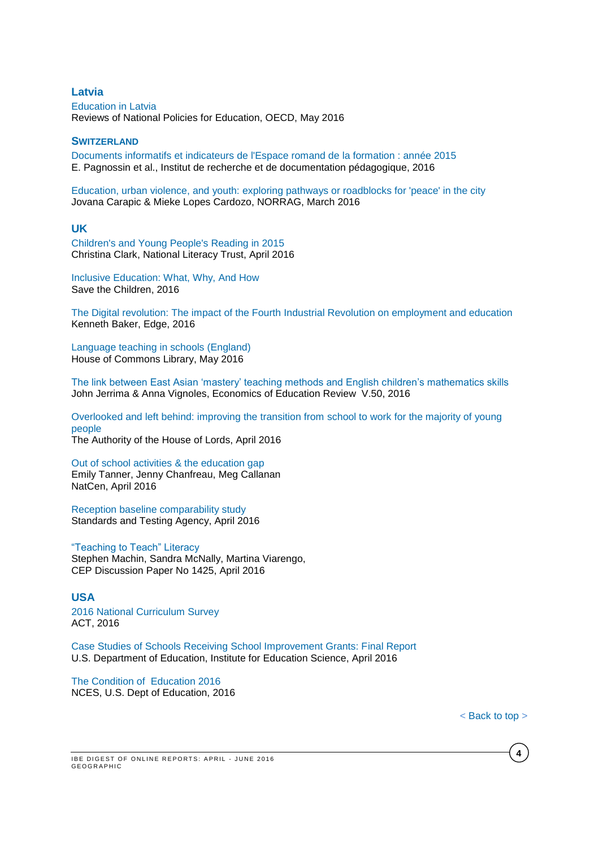**Latvia** [Education](http://www.oecd-ilibrary.org/education/education-in-latvia_9789264250628-en;jsessionid=1q75m114ogflf.x-oecd-live-03) in Latvia Reviews of National Policies for Education, OECD, May 2016

#### **SWITZERLAND**

[Documents informatifs et indicateurs de l'Espace romand de la formation : année 2015](http://publications.irdp.relation.ch/ftp/1459938339161.pdf) E. Pagnossin et al., Institut de recherche et de documentation pédagogique, 2016

[Education, urban violence, and youth: exploring pathways or roadblocks for 'peace' in the city](http://www.norrag.org/fileadmin/Working_Papers/Working_Paper__10_Carapic_Lopes_Cardozo.pdf) Jovana Carapic & Mieke Lopes Cardozo, NORRAG, March 2016

### **UK**

[Children's and Young People's Reading in 2015](http://www.literacytrust.org.uk/assets/0003/1643/Young_people_s_reading_2015_-_Final.pdf) Christina Clark, National Literacy Trust, April 2016

[Inclusive Education: What, Why, And How](http://images.savethechildren.it/IT/f/img_pubblicazioni/img292_b.pdf) Save the Children, 2016

The Digital revolution: The impact of the Fourth [Industrial Revolution on employment and education](http://www.edge.co.uk/media/193777/digital_revolution_web_version.pdf) Kenneth Baker, Edge, 2016

[Language teaching in schools \(England\)](http://researchbriefings.parliament.uk/ResearchBriefing/Summary/CBP-7388#fullreport) House of Commons Library, May 2016

[The link between East Asian 'mastery' teaching methods and English children's mathematics skills](http://ac.els-cdn.com/S0272775715001454/1-s2.0-S0272775715001454-main.pdf?_tid=d0cd2efc-fa45-11e5-9796-00000aab0f6b&acdnat=1459761526_508160eb10f09a9f2ba7f5d6d4e8d322) John Jerrima & Anna Vignoles, Economics of Education Review V.50, 2016

[Overlooked and left behind: improving the transition from school to work for the majority of young](http://www.publications.parliament.uk/pa/ld201516/ldselect/ldsocmob/120/120.pdf)  [people](http://www.publications.parliament.uk/pa/ld201516/ldselect/ldsocmob/120/120.pdf) The Authority of the House of Lords, April 2016

[Out of school activities & the education gap](http://www.natcen.ac.uk/our-research/research/out-of-school-activities/) Emily Tanner, Jenny Chanfreau, Meg Callanan NatCen, April 2016

[Reception baseline comparability study](https://www.gov.uk/government/uploads/system/uploads/attachment_data/file/514581/Reception_baseline_comparability_study.pdf) Standards and Testing Agency, April 2016

["Teaching to Teach" Literacy](http://cep.lse.ac.uk/pubs/download/dp1425.pdf) Stephen Machin, Sandra McNally, Martina Viarengo, CEP Discussion Paper No 1425, April 2016

#### **USA**

[2016 National Curriculum Survey](http://www.act.org/content/act/en/research/national-curriculum-survey.html) ACT, 2016

[Case Studies of Schools Receiving School Improvement Grants: Final Report](http://ies.ed.gov/ncee/pubs/20164002/pdf/20164002.pdf) U.S. Department of Education, Institute for Education Science, April 2016

[The Condition of Education 2016](http://nces.ed.gov/pubs2016/2016144.pdf) NCES, U.S. Dept of Education, 2016

< [Back](#page-0-0) to top >

IBE DIGEST OF ONLINE REPORTS: APRIL - JUNE 2016 **GEOGRAPHIC**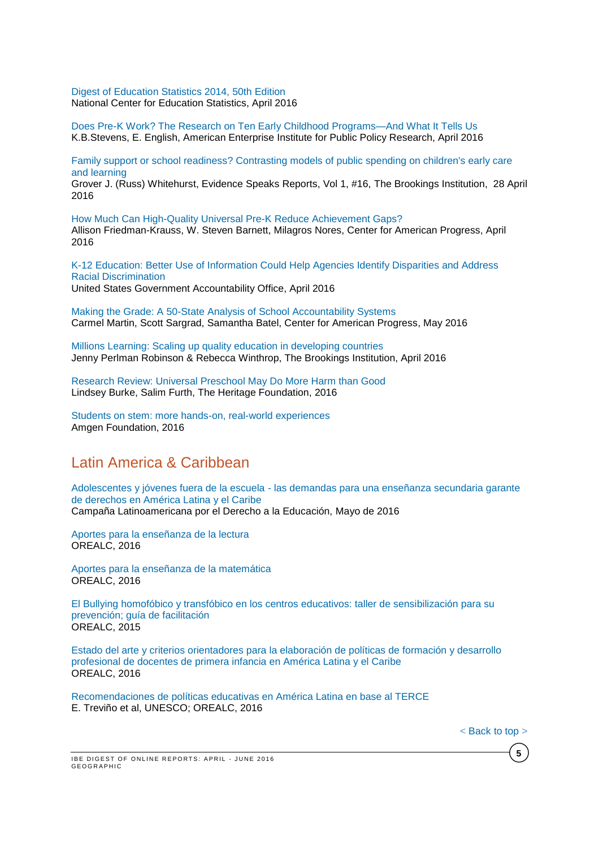[Digest of Education Statistics 2014, 50th Edition](http://nces.ed.gov/pubs2016/2016006.pdf) National Center for Education Statistics, April 2016

[Does Pre-K Work? The Research on Ten Early Childhood Programs—And What It Tells Us](http://www.aei.org/wp-content/uploads/2016/04/Does-Pre-K-Work.pdf) K.B.Stevens, E. English, American Enterprise Institute for Public Policy Research, April 2016

[Family support or school readiness? Contrasting models of public spending on children's early care](http://www.brookings.edu/~/media/research/files/reports/2016/04/28-family-support-or-school-readiness-whitehurst/family-support2.pdf)  [and learning](http://www.brookings.edu/~/media/research/files/reports/2016/04/28-family-support-or-school-readiness-whitehurst/family-support2.pdf) Grover J. (Russ) Whitehurst, Evidence Speaks Reports, Vol 1, #16, The Brookings Institution, 28 April 2016

[How Much Can High-Quality Universal Pre-K Reduce Achievement Gaps?](https://cdn.americanprogress.org/wp-content/uploads/2016/04/01115656/NIEER-AchievementGaps-report.pdf) Allison Friedman-Krauss, W. Steven Barnett, Milagros Nores, Center for American Progress, April 2016

[K-12 Education: Better Use of Information Could Help Agencies Identify Disparities and Address](http://www.gao.gov/assets/680/676745.pdf)  [Racial Discrimination](http://www.gao.gov/assets/680/676745.pdf) United States Government Accountability Office, April 2016

[Making the Grade: A 50-State Analysis of School Accountability Systems](https://cdn.americanprogress.org/wp-content/uploads/2016/05/17094420/AccountabilityLandscape-report2.pdf) Carmel Martin, Scott Sargrad, Samantha Batel, Center for American Progress, May 2016

[Millions Learning: Scaling up quality education in developing countries](http://www.brookings.edu/~/media/Research/Files/Reports/2016/04/millions-learning/FINAL-Millions-Learning-Report.pdf?la=en) Jenny Perlman Robinson & Rebecca Winthrop, The Brookings Institution, April 2016

[Research Review: Universal Preschool May Do More Harm than Good](http://www.heritage.org/research/reports/2016/05/research-review-universal-preschool-may-do-more-harm-than-good) Lindsey Burke, Salim Furth, The Heritage Foundation, 2016

[Students on stem: more hands-on, real-world experiences](http://changetheequation.org/sites/default/files/CTEq%20Amgen%20Brief_FINAL.pdf) Amgen Foundation, 2016

# Latin America & Caribbean

Adolescentes y jóvenes fuera de la escuela - [las demandas para una enseñanza secundaria garante](http://www.campanaderechoeducacion.org/v2/es/publicaciones/clade/publicaciones-tematicas.html?download=342%3Aadolescentes-y-jovenes-fuera-de-la-escuela-las-demandas-para-una-ensenanza-secundaria-garante-de-derechos-en-america-latina-y-el-caribe)  [de derechos en América Latina y el Caribe](http://www.campanaderechoeducacion.org/v2/es/publicaciones/clade/publicaciones-tematicas.html?download=342%3Aadolescentes-y-jovenes-fuera-de-la-escuela-las-demandas-para-una-ensenanza-secundaria-garante-de-derechos-en-america-latina-y-el-caribe) Campaña Latinoamericana por el Derecho a la Educación, Mayo de 2016

[Aportes para la enseñanza de la lectura](http://unesdoc.unesco.org/images/0024/002448/244874s.pdf) OREALC, 2016

[Aportes para la enseñanza de la matemática](http://unesdoc.unesco.org/images/0024/002448/244855s.pdf) OREALC, 2016

[El Bullying homofóbico y transfóbico en los centros educativos: taller de sensibilización para su](http://unesdoc.unesco.org/images/0024/002448/244841s.pdf)  [prevención; guía de facilitación](http://unesdoc.unesco.org/images/0024/002448/244841s.pdf) OREALC, 2015

[Estado del arte y criterios orientadores para la elaboración de políticas de formación y desarrollo](http://unesdoc.unesco.org/images/0024/002451/245157s.pdf)  [profesional de docentes de primera infancia en América Latina y el Caribe](http://unesdoc.unesco.org/images/0024/002451/245157s.pdf) OREALC, 2016

[Recomendaciones de políticas educativas en América Latina en base al TERCE](http://unesdoc.unesco.org/images/0024/002449/244976s.pdf) E. Treviño et al, UNESCO; OREALC, 2016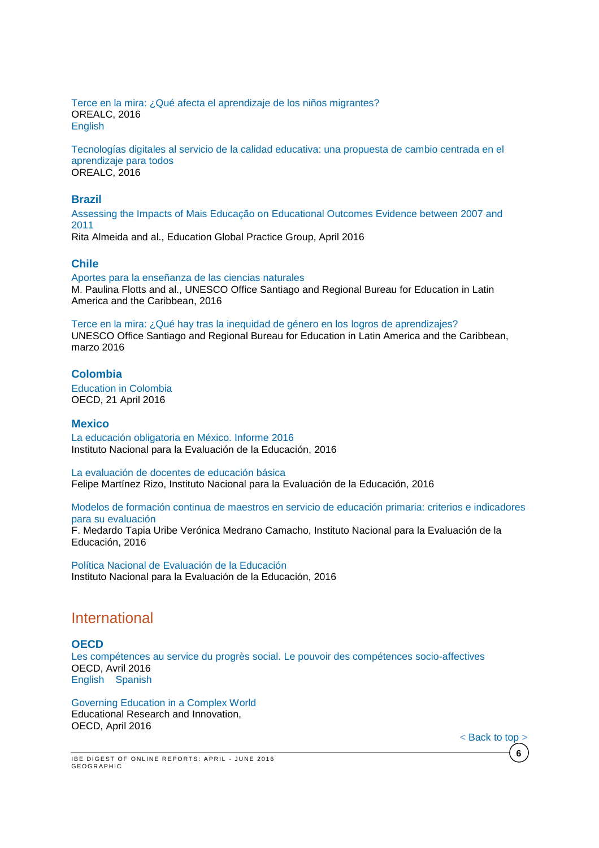[Terce en la mira: ¿Qué afecta el aprendizaje de los niños migrantes?](http://unesdoc.unesco.org/images/0024/002450/245060s.pdf) OREALC, 2016 **[English](http://unesdoc.unesco.org/images/0024/002450/245060e.pdf)** 

[Tecnologías digitales al servicio de la calidad educativa: una propuesta de cambio centrada en el](http://unesdoc.unesco.org/images/0024/002451/245115s.pdf)  [aprendizaje para todos](http://unesdoc.unesco.org/images/0024/002451/245115s.pdf) OREALC, 2016

#### **Brazil**

[Assessing the Impacts of Mais Educação on Educational Outcomes Evidence between 2007 and](http://www-wds.worldbank.org/external/default/WDSContentServer/WDSP/IB/2016/04/18/090224b0842a6737/1_0/Rendered/PDF/Assessing0the00etween020070and02011.pdf)  [2011](http://www-wds.worldbank.org/external/default/WDSContentServer/WDSP/IB/2016/04/18/090224b0842a6737/1_0/Rendered/PDF/Assessing0the00etween020070and02011.pdf) Rita Almeida and al., Education Global Practice Group, April 2016

**Chile**

[Aportes para la enseñanza de las ciencias naturales](http://unesdoc.unesco.org/images/0024/002447/244733s.pdf) M. Paulina Flotts and al., UNESCO Office Santiago and Regional Bureau for Education in Latin America and the Caribbean, 2016

[Terce en la mira: ¿Qué hay tras la inequidad de género en los](http://unesdoc.unesco.org/images/0024/002442/244233s.pdf) logros de aprendizajes?

UNESCO Office Santiago and Regional Bureau for Education in Latin America and the Caribbean, marzo 2016

### **Colombia**

[Education](http://www.oecd-ilibrary.org/education/education-in-colombia_9789264250604-en) in Colombia OECD, 21 April 2016

#### **Mexico**

[La educación obligatoria en México. Informe 2016](http://publicaciones.inee.edu.mx/buscadorPub/P1/I/241/P1I241.pdf) Instituto Nacional para la Evaluación de la Educación, 2016

[La evaluación de docentes de educación básica](http://www.inee.edu.mx/images/stories/2016/publicaciones/EvaluacionDocentesEB.pdf) Felipe Martínez Rizo, Instituto Nacional para la Evaluación de la Educación, 2016

[Modelos de formación continua de maestros en servicio de educación primaria: criterios e indicadores](http://www.inee.edu.mx/images/stories/2016/publicaciones/ModelosFC250416.pdf)  [para su evaluación](http://www.inee.edu.mx/images/stories/2016/publicaciones/ModelosFC250416.pdf)

F. Medardo Tapia Uribe Verónica Medrano Camacho, Instituto Nacional para la Evaluación de la Educación, 2016

[Política Nacional de Evaluación de la Educación](http://publicaciones.inee.edu.mx/buscadorPub/P1/E/302/P1E302.pdf) Instituto Nacional para la Evaluación de la Educación, 2016

# <span id="page-5-0"></span>International

#### **OECD**

[Les compétences au service du progrès social. Le pouvoir des compétences socio-affectives](http://www.oecd-ilibrary.org/docserver/download/9615012e.pdf?expires=1460724135&id=id&accname=guest&checksum=70CDF9A47A8D4F307DD161FC9583011F) OECD, Avril 2016 [English](http://www.oecd-ilibrary.org/docserver/download/9615011e.pdf?expires=1460724577&id=id&accname=guest&checksum=73BC6337EA3CA6BF846B9092F0E7A3B0) [Spanish](http://www.oecd-ilibrary.org/docserver/download/9615014e.pdf?expires=1460724610&id=id&accname=guest&checksum=995A127757D05B55E0A21B45DCCF5AD6)

[Governing](http://www.keepeek.com/Digital-Asset-Management/oecd/education/governing-education-in-a-complex-world_9789264255364-en#page202) Education in a Complex World Educational Research and Innovation, OECD, April 2016

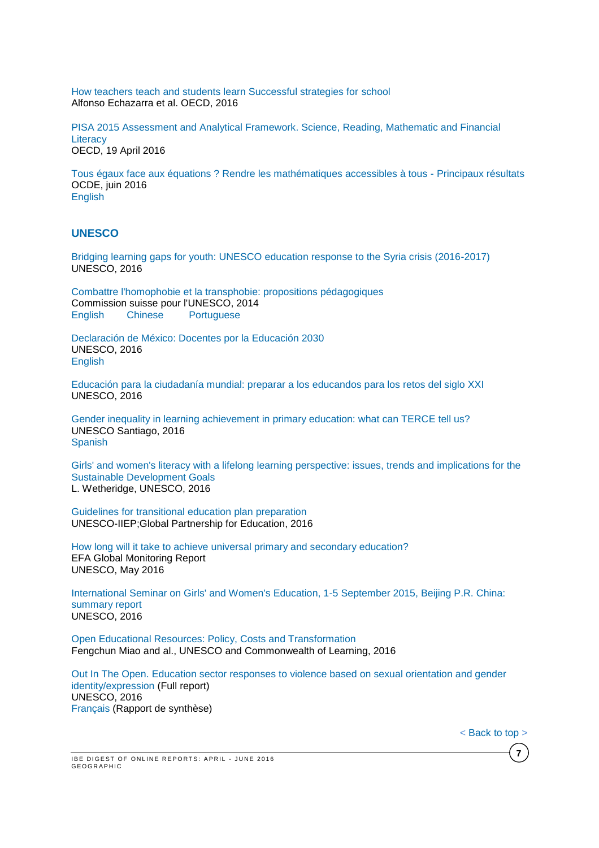[How teachers teach and students learn Successful strategies for](http://www.oecd.org/officialdocuments/publicdisplaydocumentpdf/?cote=EDU/WKP(2016)4&docLanguage=En) school Alfonso Echazarra et al. OECD, 2016

PISA 2015 [Assessment](http://www.oecd-ilibrary.org/docserver/download/9816021e.pdf?expires=1461054844&id=id&accname=guest&checksum=795A127FB0D832C3FDD0AAA44D3200B8) and Analytical Framework. Science, Reading, Mathematic and Financial **[Literacy](http://www.oecd-ilibrary.org/docserver/download/9816021e.pdf?expires=1461054844&id=id&accname=guest&checksum=795A127FB0D832C3FDD0AAA44D3200B8)** OECD, 19 April 2016

[Tous égaux face aux équations ? Rendre les mathématiques accessibles à tous -](http://www.oecd-ilibrary.org/content/book/9789264259294-fr?site=fr) Principaux résultats OCDE, juin 2016 [English](http://www.oecd-ilibrary.org/fr/education/pisa_19963777;jsessionid=ma90o5kd0w8c.x-oecd-live-02)

### **UNESCO**

[Bridging learning gaps for youth: UNESCO education response to the Syria crisis \(2016-2017\)](http://unesdoc.unesco.org/images/0024/002443/244333e.pdf) UNESCO, 2016

[Combattre l'homophobie et la transphobie: propositions pédagogiques](http://unesdoc.unesco.org/images/0024/002448/244814f.pdf) Commission suisse pour l'UNESCO, 2014<br>English Chinese Portuguese [English](http://unesdoc.unesco.org/images/0022/002286/228634e.pdf) [Chinese](http://unesdoc.unesco.org/images/0022/002286/228634c.pdf) [Portuguese](http://unesdoc.unesco.org/images/0022/002286/228634por.pdf)

[Declaración de México: Docentes por la Educación 2030](http://unesdoc.unesco.org/images/0024/002442/244231s.pdf) UNESCO, 2016 [English](http://unesdoc.unesco.org/images/0024/002442/244231e.pdf)

[Educación para la ciudadanía mundial: preparar a los educandos para los retos del siglo XXI](http://unesdoc.unesco.org/images/0024/002449/244957s.pdf) UNESCO, 2016

[Gender inequality in learning achievement in primary education: what can TERCE tell us?](http://unesdoc.unesco.org/images/0024/002443/244349e.pdf) UNESCO Santiago, 2016 **[Spanish](http://unesdoc.unesco.org/images/0024/002443/244349s.pdf)** 

[Girls' and women's literacy with a lifelong learning perspective: issues, trends and implications for the](http://unesdoc.unesco.org/images/0024/002449/244959e.pdf)  [Sustainable Development Goals](http://unesdoc.unesco.org/images/0024/002449/244959e.pdf) L. Wetheridge, UNESCO, 2016

[Guidelines for transitional education plan preparation](http://unesdoc.unesco.org/images/0024/002449/244900e.pdf) UNESCO-IIEP;Global Partnership for Education, 2016

[How long will it take to achieve universal primary and secondary education?](http://unesdoc.unesco.org/images/0023/002330/233028E.pdf) EFA Global Monitoring Report UNESCO, May 2016

[International Seminar on Girls' and Women's Education, 1-5 September 2015, Beijing P.R. China:](http://unesdoc.unesco.org/images/0024/002443/244351m.pdf)  [summary report](http://unesdoc.unesco.org/images/0024/002443/244351m.pdf) UNESCO, 2016

[Open Educational Resources: Policy, Costs and Transformation](http://unesdoc.unesco.org/images/0024/002443/244365e.pdf) Fengchun Miao and al., UNESCO and Commonwealth of Learning, 2016

[Out In The Open. Education sector responses to violence based on sexual orientation and gender](http://unesdoc.unesco.org/images/0024/002447/244756e.pdf)  [identity/expression](http://unesdoc.unesco.org/images/0024/002447/244756e.pdf) (Full report) UNESCO, 2016 [Français](http://unesdoc.unesco.org/images/0024/002446/244652f.pdf) (Rapport de synthèse)

< [Back](#page-0-0) to top >

**7**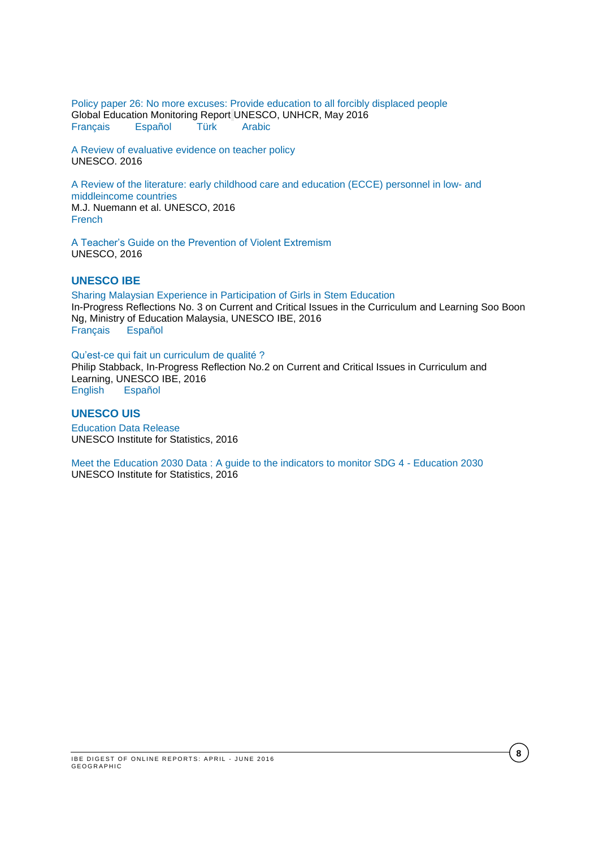[Policy paper 26: No more excuses: Provide education to all forcibly displaced people](http://unesdoc.unesco.org/images/0024/002448/244847E.pdf) Global Education Monitoring Report UNESCO, UNHCR, May 2016 [Français](http://unesdoc.unesco.org/images/0024/002448/244847F.pdf) [Español](http://unesdoc.unesco.org/images/0024/002448/244847S.pdf) [Türk](http://unesdoc.unesco.org/images/0024/002448/244847TUR.pdf) [Arabic](http://unesdoc.unesco.org/images/0024/002448/244847a.pdf)

[A Review of evaluative evidence on teacher policy](http://unesdoc.unesco.org/images/0024/002443/244373e.pdf) UNESCO. 2016

A [Review of the literature: early childhood care and education \(ECCE\) personnel in low-](http://unesdoc.unesco.org/images/0023/002349/234988e.pdf) and [middleincome countries](http://unesdoc.unesco.org/images/0023/002349/234988e.pdf) M.J. Nuemann et al. UNESCO, 2016 [French](http://unesdoc.unesco.org/images/0023/002349/234988f.pdf)

[A Teacher's Guide on the Prevention of Violent Extremism](http://unesdoc.unesco.org/images/0024/002446/244676e.pdf) UNESCO, 2016

### **UNESCO IBE**

[Sharing Malaysian Experience in Participation of Girls in Stem Education](http://www.ibe.unesco.org/sites/default/files/resources/ipr3-boon-ng-stemgirlmalaysia_eng.pdf) In-Progress Reflections No. 3 on Current and Critical Issues in the Curriculum and Learning Soo Boon Ng, Ministry of Education Malaysia, UNESCO IBE, 2016 [Français](http://www.ibe.unesco.org/sites/default/files/resources/ipr3-boon-ng-stemgirlmalaysia_fre.pdf) [Español](http://www.ibe.unesco.org/sites/default/files/resources/ipr3-boon-ng-stemgirlmalaysia_spa.pdf)

[Qu'est-ce qui fait un curriculum de qualité ?](http://unesdoc.unesco.org/images/0024/002439/243975f.pdf) Philip Stabback, In-Progress Reflection No.2 on Current and Critical Issues in Curriculum and Learning, UNESCO IBE, 2016<br>English Español

English

# **UNESCO UIS**

[Education Data Release](http://www.uis.unesco.org/Education/Pages/data-release-june-2016.aspx)  UNESCO Institute for Statistics, 2016

[Meet the Education 2030 Data : A guide to the indicators to monitor SDG 4 -](http://www.uis.unesco.org/Education/Pages/meet-education-2030-data.aspx) Education 2030 UNESCO Institute for Statistics, 2016